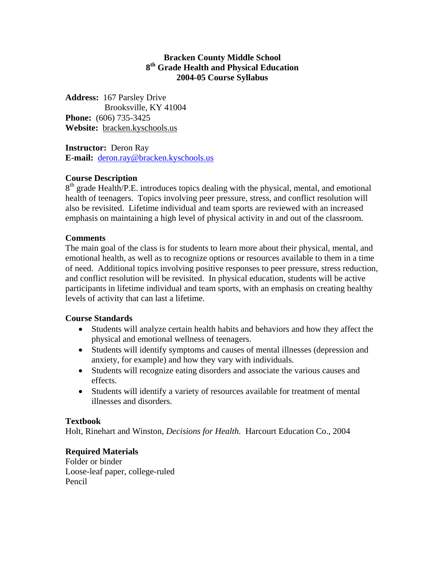#### **Bracken County Middle School 8th Grade Health and Physical Education 2004-05 Course Syllabus**

**Address:** 167 Parsley Drive Brooksville, KY 41004 **Phone:** (606) 735-3425 **Website:** bracken.kyschools.us

**Instructor:** Deron Ray **E-mail:** [deron.ray@bracken.kyschools.us](mailto:deron.ray@bracken.kyschools.us)

## **Course Description**

 $8<sup>th</sup>$  grade Health/P.E. introduces topics dealing with the physical, mental, and emotional health of teenagers. Topics involving peer pressure, stress, and conflict resolution will also be revisited. Lifetime individual and team sports are reviewed with an increased emphasis on maintaining a high level of physical activity in and out of the classroom.

## **Comments**

The main goal of the class is for students to learn more about their physical, mental, and emotional health, as well as to recognize options or resources available to them in a time of need. Additional topics involving positive responses to peer pressure, stress reduction, and conflict resolution will be revisited. In physical education, students will be active participants in lifetime individual and team sports, with an emphasis on creating healthy levels of activity that can last a lifetime.

#### **Course Standards**

- Students will analyze certain health habits and behaviors and how they affect the physical and emotional wellness of teenagers.
- Students will identify symptoms and causes of mental illnesses (depression and anxiety, for example) and how they vary with individuals.
- Students will recognize eating disorders and associate the various causes and effects.
- Students will identify a variety of resources available for treatment of mental illnesses and disorders.

## **Textbook**

Holt, Rinehart and Winston, *Decisions for Health.* Harcourt Education Co., 2004

## **Required Materials**

Folder or binder Loose-leaf paper, college-ruled Pencil